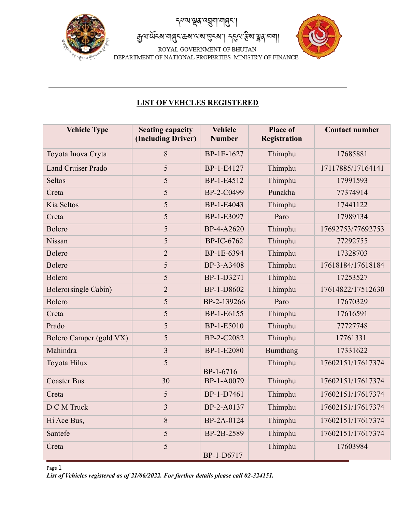

ন'ৠয়৻৽য়য়৸য়৻ঀয়

สูญญัตรยะปลี่ยนตราช เสริม 1 25 สิง

ROYAL GOVERNMENT OF BHUTAN DEPARTMENT OF NATIONAL PROPERTIES, MINISTRY OF FINANCE



## **LIST OF VEHCLES REGISTERED**

| <b>Vehicle Type</b>       | <b>Seating capacity</b><br>(Including Driver) | <b>Vehicle</b><br><b>Number</b> | <b>Place of</b><br>Registration | <b>Contact number</b> |
|---------------------------|-----------------------------------------------|---------------------------------|---------------------------------|-----------------------|
| Toyota Inova Cryta        | 8                                             | BP-1E-1627                      | Thimphu                         | 17685881              |
| <b>Land Cruiser Prado</b> | 5                                             | BP-1-E4127                      | Thimphu                         | 17117885/17164141     |
| <b>Seltos</b>             | 5                                             | BP-1-E4512                      | Thimphu                         | 17991593              |
| Creta                     | 5                                             | BP-2-C0499                      | Punakha                         | 77374914              |
| Kia Seltos                | 5                                             | BP-1-E4043                      | Thimphu                         | 17441122              |
| Creta                     | 5                                             | BP-1-E3097                      | Paro                            | 17989134              |
| Bolero                    | 5                                             | BP-4-A2620                      | Thimphu                         | 17692753/77692753     |
| Nissan                    | 5                                             | <b>BP-IC-6762</b>               | Thimphu                         | 77292755              |
| <b>Bolero</b>             | $\overline{2}$                                | BP-1E-6394                      | Thimphu                         | 17328703              |
| <b>Bolero</b>             | 5                                             | BP-3-A3408                      | Thimphu                         | 17618184/17618184     |
| <b>Bolero</b>             | 5                                             | BP-1-D3271                      | Thimphu                         | 17253527              |
| Bolero(single Cabin)      | $\overline{2}$                                | BP-1-D8602                      | Thimphu                         | 17614822/17512630     |
| <b>Bolero</b>             | 5                                             | BP-2-139266                     | Paro                            | 17670329              |
| Creta                     | 5                                             | BP-1-E6155                      | Thimphu                         | 17616591              |
| Prado                     | 5                                             | BP-1-E5010                      | Thimphu                         | 77727748              |
| Bolero Camper (gold VX)   | 5                                             | BP-2-C2082                      | Thimphu                         | 17761331              |
| Mahindra                  | $\overline{3}$                                | BP-1-E2080                      | <b>Bumthang</b>                 | 17331622              |
| Toyota Hilux              | 5                                             | BP-1-6716                       | Thimphu                         | 17602151/17617374     |
| <b>Coaster Bus</b>        | 30                                            | BP-1-A0079                      | Thimphu                         | 17602151/17617374     |
| Creta                     | 5                                             | BP-1-D7461                      | Thimphu                         | 17602151/17617374     |
| D C M Truck               | $\overline{3}$                                | BP-2-A0137                      | Thimphu                         | 17602151/17617374     |
| Hi Ace Bus,               | 8                                             | BP-2A-0124                      | Thimphu                         | 17602151/17617374     |
| Santefe                   | 5                                             | BP-2B-2589                      | Thimphu                         | 17602151/17617374     |
| Creta                     | 5                                             | BP-1-D6717                      | Thimphu                         | 17603984              |

Page 1

*List of Vehicles registered as of 21/06/2022. For further details please call 02-324151.*